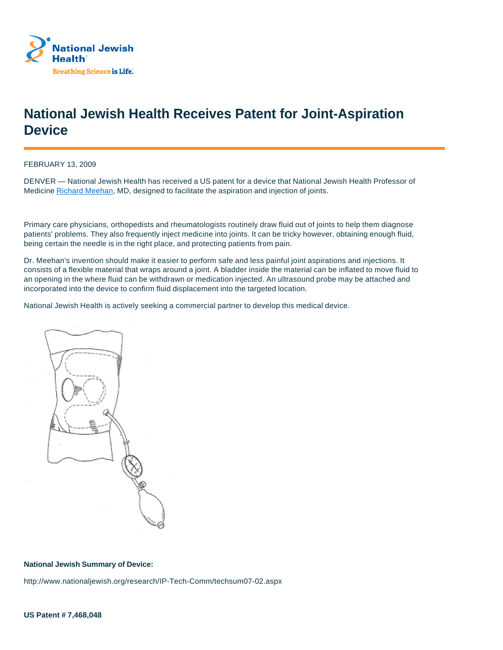

## **National Jewish Health Receives Patent for Joint-Aspiration Device**

FEBRUARY 13, 2009

DENVER — National Jewish Health has received a US patent for a device that National Jewish Health Professor of Medicine Richard Meehan, MD, designed to facilitate the aspiration and injection of joints.

Primary care physicians, orthopedists and rheumatologists routinely draw fluid out of joints to help them diagnose patients' problems. They also frequently inject medicine into joints. It can be tricky however, obtaining enough fluid, being certain the needle is in the right place, and protecting patients from pain.

Dr. Meehan's invention should make it easier to perform safe and less painful joint aspirations and injections. It consists of a flexible material that wraps around a joint. A bladder inside the material can be inflated to move fluid to an opening in the where fluid can be withdrawn or medication injected. An ultrasound probe may be attached and incorporated into the device to confirm fluid displacement into the targeted location.

National Jewish Health is actively seeking a commercial partner to develop this medical device.



## **National Jewish Summary of Device:**

http://www.nationaljewish.org/research/IP-Tech-Comm/techsum07-02.aspx